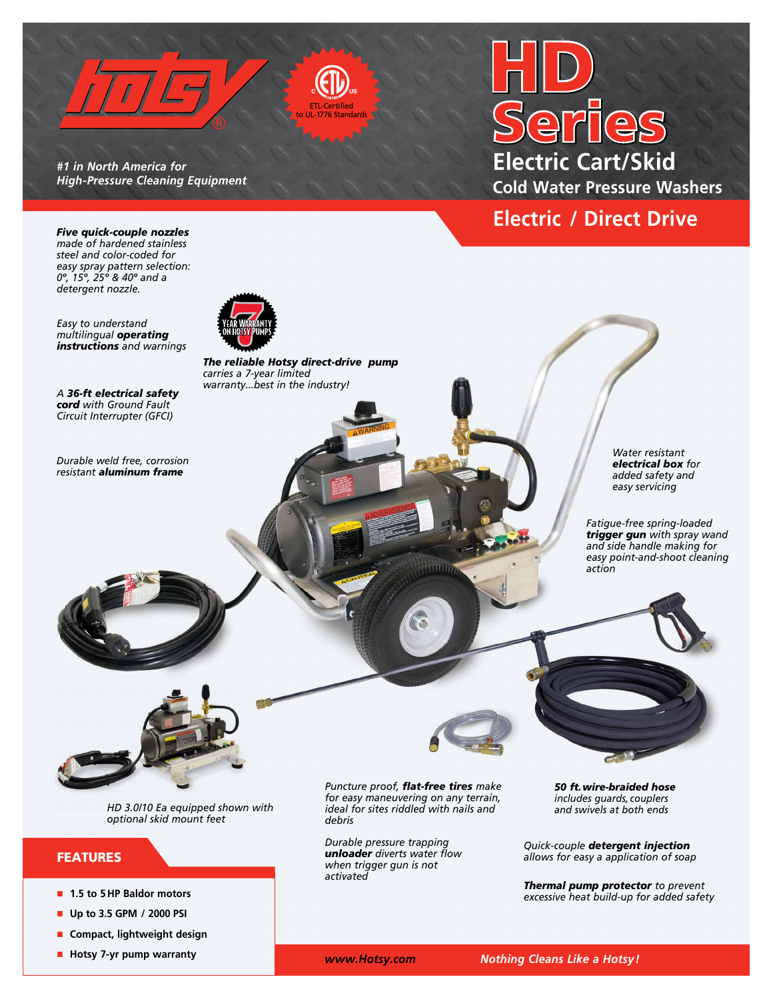

*#1 in North America for High-Pressure Cleaning Equipment* 

# **Electric Cart/Skid Cold Water Pressure Washers**

## **Electric / Direct Drive**

*Five quick-couple nozzles made of hardened stainless steel and color-coded for easy spray pattern selection: 0º, 15º, 25º & 40º and a detergent nozzle.*

*Easy to understand multilingual operating instructions and warnings*

*A 36-ft electrical safety cord with Ground Fault Circuit Interrupter (GFCI)* 

*Durable weld free, corrosion resistant aluminum frame* 



*The reliable Hotsy direct-drive pump carries a 7-year limited warranty...best in the industry!*

> *Water resistant electrical box for added safety and easy servicing*

*Fatigue-free spring-loaded trigger gun with spray wand and side handle making for easy point-and-shoot cleaning action*



*HD 3.0/10 Ea equipped shown with optional skid mount feet*

## FEATURES

- n **1.5 to 5 HP Baldor motors**
- n **Up to 3.5 GPM / 2000 PSI**
- **n** Compact, lightweight design
- **n** Hotsy 7-yr pump warranty

*Puncture proof, flat-free tires make for easy maneuvering on any terrain, ideal for sites riddled with nails and debris*

 $\cdots$ 

*Durable pressure trapping unloader diverts water flow when trigger gun is not activated*

*50 ft.wire-braided hose includes guards, couplers and swivels at both ends* 

*Quick-couple detergent injection allows for easy a application of soap* 

*Thermal pump protector to prevent excessive heat build-up for added safety*